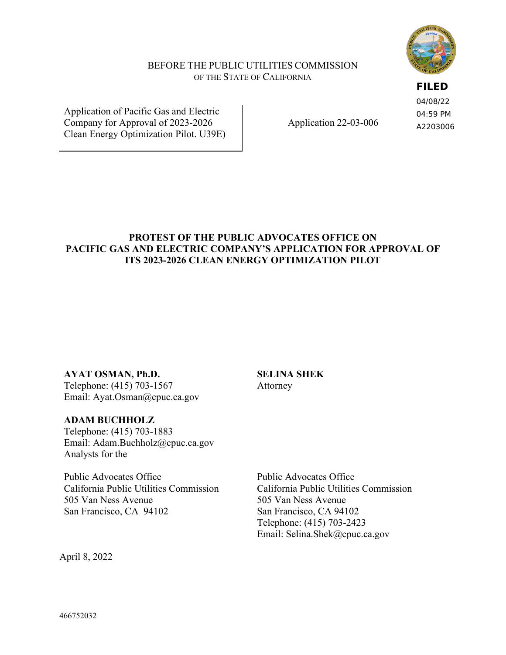

#### BEFORE THE PUBLIC UTILITIES COMMISSION OF THE STATE OF CALIFORNIA

### **FILED**

04/08/22 04:59 PM A2203006

Application of Pacific Gas and Electric Company for Approval of 2023-2026 Clean Energy Optimization Pilot. U39E)

Application 22-03-006

## **PROTEST OF THE PUBLIC ADVOCATES OFFICE ON PACIFIC GAS AND ELECTRIC COMPANY'S APPLICATION FOR APPROVAL OF ITS 2023-2026 CLEAN ENERGY OPTIMIZATION PILOT**

**SELINA SHEK** 

Attorney

**AYAT OSMAN, Ph.D.** 

Telephone: (415) 703-1567 Email: Ayat.Osman@cpuc.ca.gov

## **ADAM BUCHHOLZ**

Telephone: (415) 703-1883 Email: Adam.Buchholz@cpuc.ca.gov Analysts for the

Public Advocates Office California Public Utilities Commission 505 Van Ness Avenue San Francisco, CA 94102

Public Advocates Office California Public Utilities Commission 505 Van Ness Avenue San Francisco, CA 94102 Telephone: (415) 703-2423 Email: Selina.Shek@cpuc.ca.gov

April 8, 2022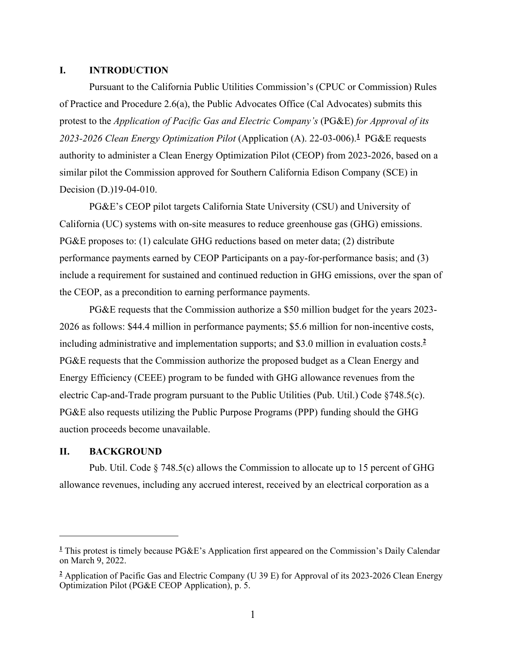#### **I. INTRODUCTION**

Pursuant to the California Public Utilities Commission's (CPUC or Commission) Rules of Practice and Procedure 2.6(a), the Public Advocates Office (Cal Advocates) submits this protest to the *Application of Pacific Gas and Electric Company's* (PG&E) *for Approval of its 2023-2026 Clean Energy Optimization Pilot* (Application (A). 22-03-006).**<sup>1</sup>** PG&E requests authority to administer a Clean Energy Optimization Pilot (CEOP) from 2023-2026, based on a similar pilot the Commission approved for Southern California Edison Company (SCE) in Decision (D.)19-04-010.

PG&E's CEOP pilot targets California State University (CSU) and University of California (UC) systems with on-site measures to reduce greenhouse gas (GHG) emissions. PG&E proposes to: (1) calculate GHG reductions based on meter data; (2) distribute performance payments earned by CEOP Participants on a pay-for-performance basis; and (3) include a requirement for sustained and continued reduction in GHG emissions, over the span of the CEOP, as a precondition to earning performance payments.

PG&E requests that the Commission authorize a \$50 million budget for the years 2023- 2026 as follows: \$44.4 million in performance payments; \$5.6 million for non-incentive costs, including administrative and implementation supports; and \$3.0 million in evaluation costs.**<sup>2</sup>** PG&E requests that the Commission authorize the proposed budget as a Clean Energy and Energy Efficiency (CEEE) program to be funded with GHG allowance revenues from the electric Cap-and-Trade program pursuant to the Public Utilities (Pub. Util.) Code §748.5(c). PG&E also requests utilizing the Public Purpose Programs (PPP) funding should the GHG auction proceeds become unavailable.

#### **II. BACKGROUND**

Pub. Util. Code § 748.5(c) allows the Commission to allocate up to 15 percent of GHG allowance revenues, including any accrued interest, received by an electrical corporation as a

**<sup>1</sup>** This protest is timely because PG&E's Application first appeared on the Commission's Daily Calendar on March 9, 2022.

**<sup>2</sup>** Application of Pacific Gas and Electric Company (U 39 E) for Approval of its 2023-2026 Clean Energy Optimization Pilot (PG&E CEOP Application), p. 5.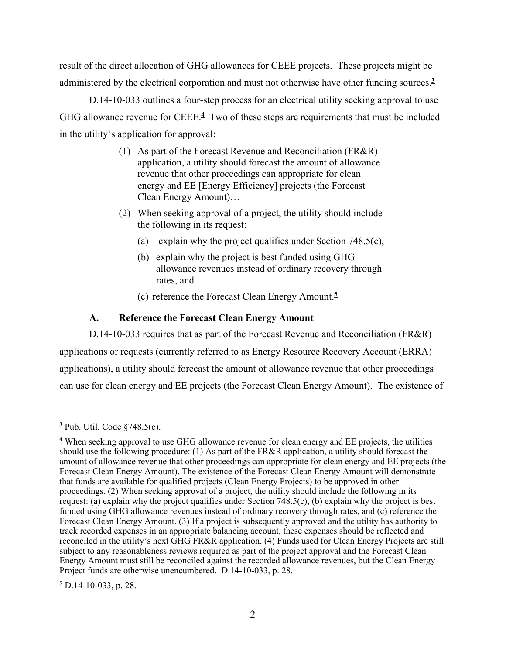result of the direct allocation of GHG allowances for CEEE projects. These projects might be administered by the electrical corporation and must not otherwise have other funding sources.**<sup>3</sup>**

D.14-10-033 outlines a four-step process for an electrical utility seeking approval to use GHG allowance revenue for CEEE.**<sup>4</sup>** Two of these steps are requirements that must be included in the utility's application for approval:

- (1) As part of the Forecast Revenue and Reconciliation (FR&R) application, a utility should forecast the amount of allowance revenue that other proceedings can appropriate for clean energy and EE [Energy Efficiency] projects (the Forecast Clean Energy Amount)…
- (2) When seeking approval of a project, the utility should include the following in its request:
	- (a) explain why the project qualifies under Section 748.5(c),
	- (b) explain why the project is best funded using GHG allowance revenues instead of ordinary recovery through rates, and
	- (c) reference the Forecast Clean Energy Amount.**<sup>5</sup>**

## **A. Reference the Forecast Clean Energy Amount**

D.14-10-033 requires that as part of the Forecast Revenue and Reconciliation (FR&R) applications or requests (currently referred to as Energy Resource Recovery Account (ERRA) applications), a utility should forecast the amount of allowance revenue that other proceedings can use for clean energy and EE projects (the Forecast Clean Energy Amount). The existence of

**<sup>3</sup>** Pub. Util. Code §748.5(c).

**<sup>4</sup>** When seeking approval to use GHG allowance revenue for clean energy and EE projects, the utilities should use the following procedure: (1) As part of the FR&R application, a utility should forecast the amount of allowance revenue that other proceedings can appropriate for clean energy and EE projects (the Forecast Clean Energy Amount). The existence of the Forecast Clean Energy Amount will demonstrate that funds are available for qualified projects (Clean Energy Projects) to be approved in other proceedings. (2) When seeking approval of a project, the utility should include the following in its request: (a) explain why the project qualifies under Section 748.5(c), (b) explain why the project is best funded using GHG allowance revenues instead of ordinary recovery through rates, and (c) reference the Forecast Clean Energy Amount. (3) If a project is subsequently approved and the utility has authority to track recorded expenses in an appropriate balancing account, these expenses should be reflected and reconciled in the utility's next GHG FR&R application. (4) Funds used for Clean Energy Projects are still subject to any reasonableness reviews required as part of the project approval and the Forecast Clean Energy Amount must still be reconciled against the recorded allowance revenues, but the Clean Energy Project funds are otherwise unencumbered. D.14-10-033, p. 28.

**<sup>5</sup>** D.14-10-033, p. 28.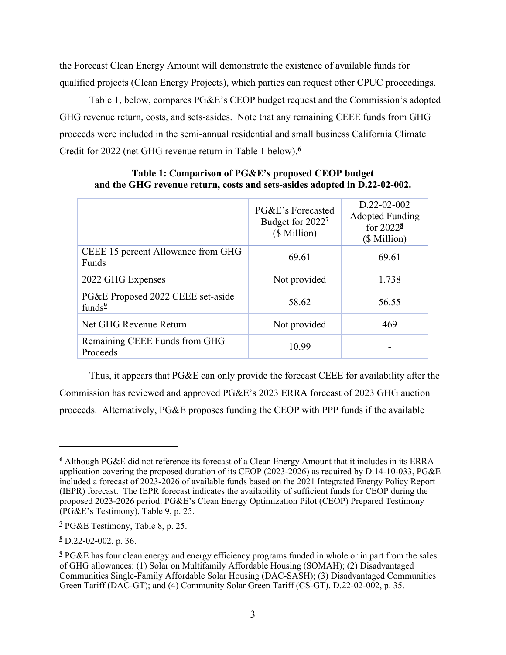the Forecast Clean Energy Amount will demonstrate the existence of available funds for qualified projects (Clean Energy Projects), which parties can request other CPUC proceedings.

Table 1, below, compares PG&E's CEOP budget request and the Commission's adopted GHG revenue return, costs, and sets-asides. Note that any remaining CEEE funds from GHG proceeds were included in the semi-annual residential and small business California Climate Credit for 2022 (net GHG revenue return in Table 1 below).**<sup>6</sup>**

|                                                          | PG&E's Forecasted<br>Budget for 2022 <sup>7</sup><br>(\$ Million) | $D.22 - 02 - 002$<br><b>Adopted Funding</b><br>for 2022 <sup>8</sup><br>(\$ Million) |
|----------------------------------------------------------|-------------------------------------------------------------------|--------------------------------------------------------------------------------------|
| CEEE 15 percent Allowance from GHG<br><b>Funds</b>       | 69.61                                                             | 69.61                                                                                |
| 2022 GHG Expenses                                        | Not provided                                                      | 1.738                                                                                |
| PG&E Proposed 2022 CEEE set-aside<br>funds $\frac{9}{2}$ | 58.62                                                             | 56.55                                                                                |
| Net GHG Revenue Return                                   | Not provided                                                      | 469                                                                                  |
| Remaining CEEE Funds from GHG<br>Proceeds                | 10.99                                                             |                                                                                      |

#### **Table 1: Comparison of PG&E's proposed CEOP budget and the GHG revenue return, costs and sets-asides adopted in D.22-02-002.**

Thus, it appears that PG&E can only provide the forecast CEEE for availability after the Commission has reviewed and approved PG&E's 2023 ERRA forecast of 2023 GHG auction proceeds. Alternatively, PG&E proposes funding the CEOP with PPP funds if the available

**<sup>6</sup>** Although PG&E did not reference its forecast of a Clean Energy Amount that it includes in its ERRA application covering the proposed duration of its CEOP (2023-2026) as required by D.14-10-033, PG&E included a forecast of 2023-2026 of available funds based on the 2021 Integrated Energy Policy Report (IEPR) forecast. The IEPR forecast indicates the availability of sufficient funds for CEOP during the proposed 2023-2026 period. PG&E's Clean Energy Optimization Pilot (CEOP) Prepared Testimony (PG&E's Testimony), Table 9, p. 25.

**<sup>7</sup>** PG&E Testimony, Table 8, p. 25.

**<sup>8</sup>** D.22-02-002, p. 36.

**<sup>9</sup>** PG&E has four clean energy and energy efficiency programs funded in whole or in part from the sales of GHG allowances: (1) Solar on Multifamily Affordable Housing (SOMAH); (2) Disadvantaged Communities Single-Family Affordable Solar Housing (DAC-SASH); (3) Disadvantaged Communities Green Tariff (DAC-GT); and (4) Community Solar Green Tariff (CS-GT). D.22-02-002, p. 35.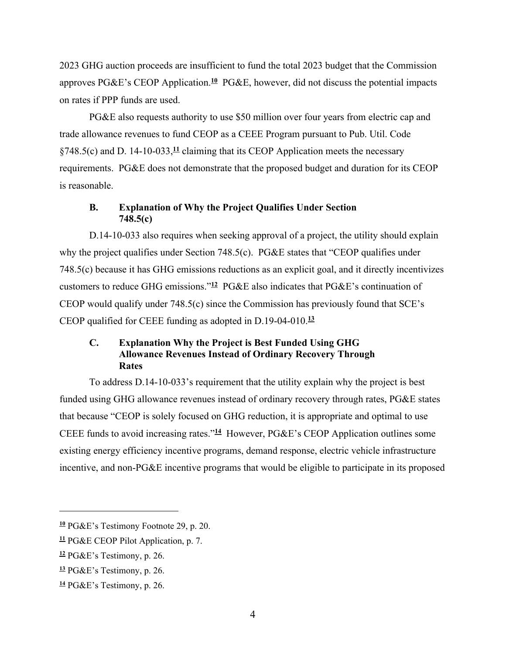2023 GHG auction proceeds are insufficient to fund the total 2023 budget that the Commission approves PG&E's CEOP Application.**<sup>10</sup>** PG&E, however, did not discuss the potential impacts on rates if PPP funds are used.

PG&E also requests authority to use \$50 million over four years from electric cap and trade allowance revenues to fund CEOP as a CEEE Program pursuant to Pub. Util. Code §748.5(c) and D. 14-10-033,**<sup>11</sup>** claiming that its CEOP Application meets the necessary requirements. PG&E does not demonstrate that the proposed budget and duration for its CEOP is reasonable.

#### **B. Explanation of Why the Project Qualifies Under Section 748.5(c)**

D.14-10-033 also requires when seeking approval of a project, the utility should explain why the project qualifies under Section 748.5(c). PG&E states that "CEOP qualifies under 748.5(c) because it has GHG emissions reductions as an explicit goal, and it directly incentivizes customers to reduce GHG emissions."**<sup>12</sup>** PG&E also indicates that PG&E's continuation of CEOP would qualify under 748.5(c) since the Commission has previously found that SCE's CEOP qualified for CEEE funding as adopted in D.19-04-010.**<sup>13</sup>**

## **C. Explanation Why the Project is Best Funded Using GHG Allowance Revenues Instead of Ordinary Recovery Through Rates**

To address D.14-10-033's requirement that the utility explain why the project is best funded using GHG allowance revenues instead of ordinary recovery through rates, PG&E states that because "CEOP is solely focused on GHG reduction, it is appropriate and optimal to use CEEE funds to avoid increasing rates."**<sup>14</sup>** However, PG&E's CEOP Application outlines some existing energy efficiency incentive programs, demand response, electric vehicle infrastructure incentive, and non-PG&E incentive programs that would be eligible to participate in its proposed

**<sup>10</sup>** PG&E's Testimony Footnote 29, p. 20.

**<sup>11</sup>** PG&E CEOP Pilot Application, p. 7.

**<sup>12</sup>** PG&E's Testimony, p. 26.

**<sup>13</sup>** PG&E's Testimony, p. 26.

**<sup>14</sup>** PG&E's Testimony, p. 26.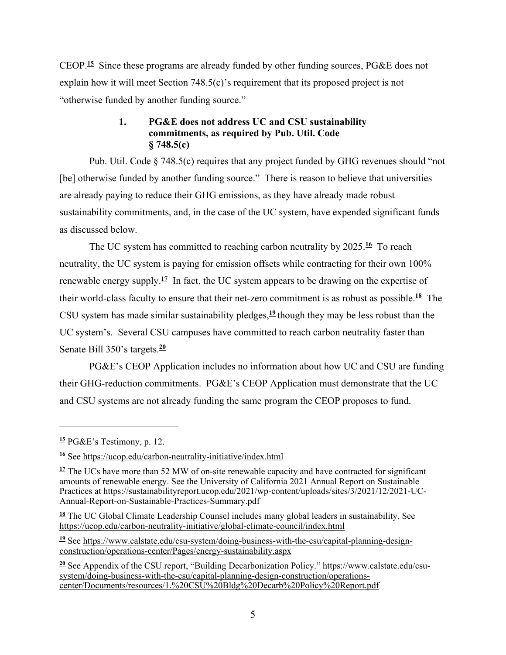CEOP.**<sup>15</sup>** Since these programs are already funded by other funding sources, PG&E does not explain how it will meet Section 748.5(c)'s requirement that its proposed project is not "otherwise funded by another funding source."

## **1. PG&E does not address UC and CSU sustainability commitments, as required by Pub. Util. Code § 748.5(c)**

Pub. Util. Code § 748.5(c) requires that any project funded by GHG revenues should "not [be] otherwise funded by another funding source." There is reason to believe that universities are already paying to reduce their GHG emissions, as they have already made robust sustainability commitments, and, in the case of the UC system, have expended significant funds as discussed below.

The UC system has committed to reaching carbon neutrality by 2025.<sup>16</sup> To reach neutrality, the UC system is paying for emission offsets while contracting for their own 100% renewable energy supply.**<sup>17</sup>** In fact, the UC system appears to be drawing on the expertise of their world-class faculty to ensure that their net-zero commitment is as robust as possible.**<sup>18</sup>** The CSU system has made similar sustainability pledges,**<sup>19</sup>** though they may be less robust than the UC system's. Several CSU campuses have committed to reach carbon neutrality faster than Senate Bill 350's targets.**<sup>20</sup>**

PG&E's CEOP Application includes no information about how UC and CSU are funding their GHG-reduction commitments. PG&E's CEOP Application must demonstrate that the UC and CSU systems are not already funding the same program the CEOP proposes to fund.

**19** See https://www.calstate.edu/csu-system/doing-business-with-the-csu/capital-planning-designconstruction/operations-center/Pages/energy-sustainability.aspx

**<sup>15</sup>** PG&E's Testimony, p. 12.

**<sup>16</sup>** See https://ucop.edu/carbon-neutrality-initiative/index.html

<sup>&</sup>lt;sup>17</sup> The UCs have more than 52 MW of on-site renewable capacity and have contracted for significant amounts of renewable energy. See the University of California 2021 Annual Report on Sustainable Practices at https://sustainabilityreport.ucop.edu/2021/wp-content/uploads/sites/3/2021/12/2021-UC-Annual-Report-on-Sustainable-Practices-Summary.pdf

**<sup>18</sup>** The UC Global Climate Leadership Counsel includes many global leaders in sustainability. See https://ucop.edu/carbon-neutrality-initiative/global-climate-council/index.html

**<sup>20</sup>** See Appendix of the CSU report, "Building Decarbonization Policy." https://www.calstate.edu/csusystem/doing-business-with-the-csu/capital-planning-design-construction/operationscenter/Documents/resources/1.%20CSU%20Bldg%20Decarb%20Policy%20Report.pdf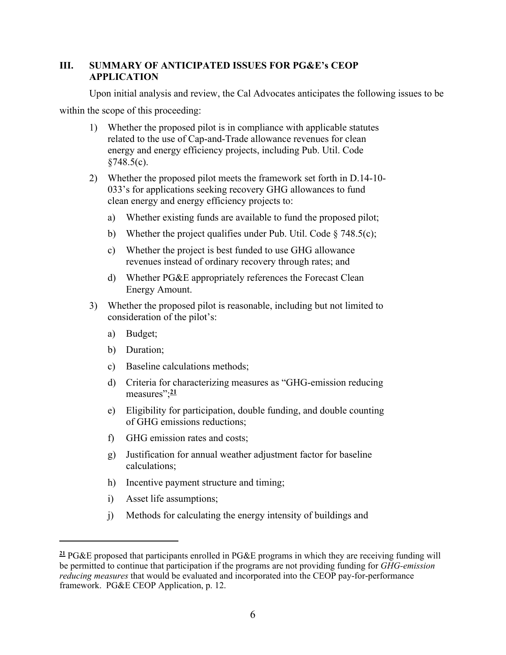## **III. SUMMARY OF ANTICIPATED ISSUES FOR PG&E's CEOP APPLICATION**

Upon initial analysis and review, the Cal Advocates anticipates the following issues to be

within the scope of this proceeding:

- 1) Whether the proposed pilot is in compliance with applicable statutes related to the use of Cap-and-Trade allowance revenues for clean energy and energy efficiency projects, including Pub. Util. Code  $§748.5(c).$
- 2) Whether the proposed pilot meets the framework set forth in D.14-10- 033's for applications seeking recovery GHG allowances to fund clean energy and energy efficiency projects to:
	- a) Whether existing funds are available to fund the proposed pilot;
	- b) Whether the project qualifies under Pub. Util. Code  $\S$  748.5(c);
	- c) Whether the project is best funded to use GHG allowance revenues instead of ordinary recovery through rates; and
	- d) Whether PG&E appropriately references the Forecast Clean Energy Amount.
- 3) Whether the proposed pilot is reasonable, including but not limited to consideration of the pilot's:
	- a) Budget;
	- b) Duration;
	- c) Baseline calculations methods;
	- d) Criteria for characterizing measures as "GHG-emission reducing measures";<sup>21</sup>
	- e) Eligibility for participation, double funding, and double counting of GHG emissions reductions;
	- f) GHG emission rates and costs;
	- g) Justification for annual weather adjustment factor for baseline calculations;
	- h) Incentive payment structure and timing;
	- i) Asset life assumptions;
	- j) Methods for calculating the energy intensity of buildings and

**<sup>21</sup>** PG&E proposed that participants enrolled in PG&E programs in which they are receiving funding will be permitted to continue that participation if the programs are not providing funding for *GHG-emission reducing measures* that would be evaluated and incorporated into the CEOP pay-for-performance framework. PG&E CEOP Application, p. 12.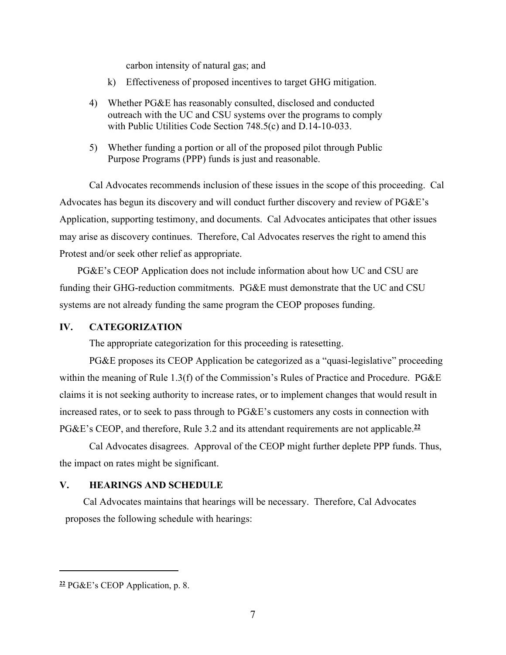carbon intensity of natural gas; and

- k) Effectiveness of proposed incentives to target GHG mitigation.
- 4) Whether PG&E has reasonably consulted, disclosed and conducted outreach with the UC and CSU systems over the programs to comply with Public Utilities Code Section 748.5(c) and D.14-10-033.
- 5) Whether funding a portion or all of the proposed pilot through Public Purpose Programs (PPP) funds is just and reasonable.

Cal Advocates recommends inclusion of these issues in the scope of this proceeding. Cal Advocates has begun its discovery and will conduct further discovery and review of PG&E's Application, supporting testimony, and documents. Cal Advocates anticipates that other issues may arise as discovery continues. Therefore, Cal Advocates reserves the right to amend this Protest and/or seek other relief as appropriate.

PG&E's CEOP Application does not include information about how UC and CSU are funding their GHG-reduction commitments. PG&E must demonstrate that the UC and CSU systems are not already funding the same program the CEOP proposes funding.

#### **IV. CATEGORIZATION**

The appropriate categorization for this proceeding is ratesetting.

PG&E proposes its CEOP Application be categorized as a "quasi-legislative" proceeding within the meaning of Rule 1.3(f) of the Commission's Rules of Practice and Procedure. PG&E claims it is not seeking authority to increase rates, or to implement changes that would result in increased rates, or to seek to pass through to PG&E's customers any costs in connection with PG&E's CEOP, and therefore, Rule 3.2 and its attendant requirements are not applicable.**<sup>22</sup>**

Cal Advocates disagrees. Approval of the CEOP might further deplete PPP funds. Thus, the impact on rates might be significant.

#### **V. HEARINGS AND SCHEDULE**

Cal Advocates maintains that hearings will be necessary. Therefore, Cal Advocates proposes the following schedule with hearings:

**<sup>22</sup>** PG&E's CEOP Application, p. 8.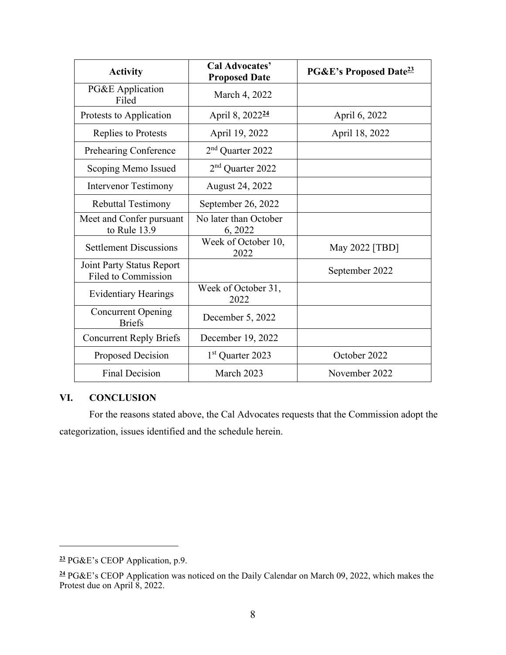| <b>Activity</b>                                  | <b>Cal Advocates'</b><br><b>Proposed Date</b> | <b>PG&amp;E's Proposed Date<sup>23</sup></b> |
|--------------------------------------------------|-----------------------------------------------|----------------------------------------------|
| PG&E Application<br>Filed                        | March 4, 2022                                 |                                              |
| Protests to Application                          | April 8, 2022 <sup>24</sup>                   | April 6, 2022                                |
| Replies to Protests                              | April 19, 2022                                | April 18, 2022                               |
| Prehearing Conference                            | 2 <sup>nd</sup> Quarter 2022                  |                                              |
| Scoping Memo Issued                              | 2 <sup>nd</sup> Quarter 2022                  |                                              |
| <b>Intervenor Testimony</b>                      | August 24, 2022                               |                                              |
| <b>Rebuttal Testimony</b>                        | September 26, 2022                            |                                              |
| Meet and Confer pursuant<br>to Rule 13.9         | No later than October<br>6, 2022              |                                              |
| <b>Settlement Discussions</b>                    | Week of October 10,<br>2022                   | May 2022 [TBD]                               |
| Joint Party Status Report<br>Filed to Commission |                                               | September 2022                               |
| <b>Evidentiary Hearings</b>                      | Week of October 31,<br>2022                   |                                              |
| <b>Concurrent Opening</b><br><b>Briefs</b>       | December 5, 2022                              |                                              |
| <b>Concurrent Reply Briefs</b>                   | December 19, 2022                             |                                              |
| Proposed Decision                                | 1 <sup>st</sup> Quarter 2023                  | October 2022                                 |
| <b>Final Decision</b>                            | March 2023                                    | November 2022                                |

# **VI. CONCLUSION**

For the reasons stated above, the Cal Advocates requests that the Commission adopt the categorization, issues identified and the schedule herein.

**<sup>23</sup>** PG&E's CEOP Application, p.9.

**<sup>24</sup>** PG&E's CEOP Application was noticed on the Daily Calendar on March 09, 2022, which makes the Protest due on April 8, 2022.